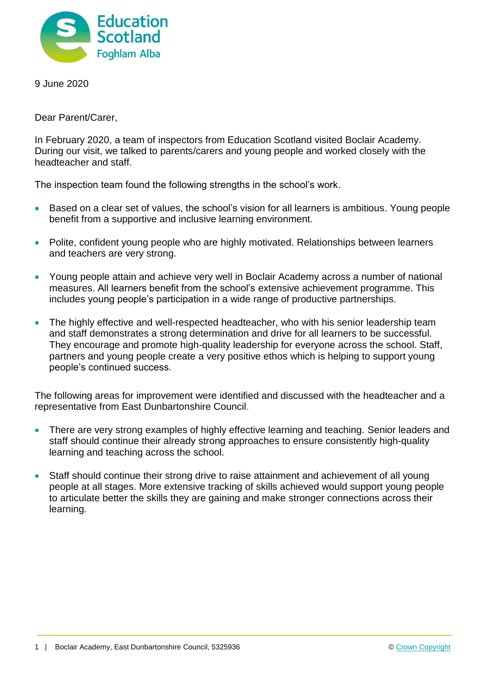

9 June 2020

Dear Parent/Carer,

In February 2020, a team of inspectors from Education Scotland visited Boclair Academy. During our visit, we talked to parents/carers and young people and worked closely with the headteacher and staff.

The inspection team found the following strengths in the school's work.

- Based on a clear set of values, the school's vision for all learners is ambitious. Young people benefit from a supportive and inclusive learning environment.
- Polite, confident young people who are highly motivated. Relationships between learners and teachers are very strong.
- Young people attain and achieve very well in Boclair Academy across a number of national measures. All learners benefit from the school's extensive achievement programme. This includes young people's participation in a wide range of productive partnerships.
- The highly effective and well-respected headteacher, who with his senior leadership team and staff demonstrates a strong determination and drive for all learners to be successful. They encourage and promote high-quality leadership for everyone across the school. Staff, partners and young people create a very positive ethos which is helping to support young people's continued success.

The following areas for improvement were identified and discussed with the headteacher and a representative from East Dunbartonshire Council.

- There are very strong examples of highly effective learning and teaching. Senior leaders and staff should continue their already strong approaches to ensure consistently high-quality learning and teaching across the school.
- Staff should continue their strong drive to raise attainment and achievement of all young people at all stages. More extensive tracking of skills achieved would support young people to articulate better the skills they are gaining and make stronger connections across their learning.